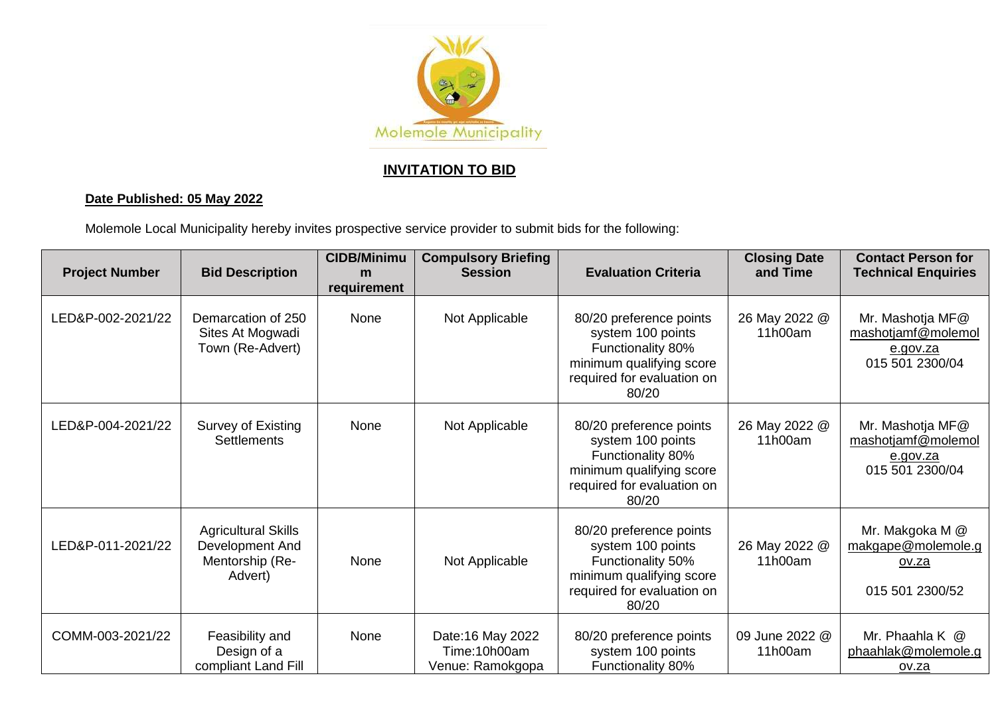

## **INVITATION TO BID**

## **Date Published: 05 May 2022**

Molemole Local Municipality hereby invites prospective service provider to submit bids for the following:

| <b>Project Number</b> | <b>Bid Description</b>                                                      | <b>CIDB/Minimu</b><br>m<br>requirement | <b>Compulsory Briefing</b><br><b>Session</b>          | <b>Evaluation Criteria</b>                                                                                                           | <b>Closing Date</b><br>and Time | <b>Contact Person for</b><br><b>Technical Enquiries</b>                  |
|-----------------------|-----------------------------------------------------------------------------|----------------------------------------|-------------------------------------------------------|--------------------------------------------------------------------------------------------------------------------------------------|---------------------------------|--------------------------------------------------------------------------|
| LED&P-002-2021/22     | Demarcation of 250<br>Sites At Mogwadi<br>Town (Re-Advert)                  | None                                   | Not Applicable                                        | 80/20 preference points<br>system 100 points<br>Functionality 80%<br>minimum qualifying score<br>required for evaluation on<br>80/20 | 26 May 2022 @<br>11h00am        | Mr. Mashotja MF@<br>mashotjamf@molemol<br>e.gov.za<br>015 501 2300/04    |
| LED&P-004-2021/22     | Survey of Existing<br><b>Settlements</b>                                    | None                                   | Not Applicable                                        | 80/20 preference points<br>system 100 points<br>Functionality 80%<br>minimum qualifying score<br>required for evaluation on<br>80/20 | 26 May 2022 @<br>11h00am        | Mr. Mashotja MF@<br>mashotjamf@molemol<br>e.gov.za<br>015 501 2300/04    |
| LED&P-011-2021/22     | <b>Agricultural Skills</b><br>Development And<br>Mentorship (Re-<br>Advert) | None                                   | Not Applicable                                        | 80/20 preference points<br>system 100 points<br>Functionality 50%<br>minimum qualifying score<br>required for evaluation on<br>80/20 | 26 May 2022 @<br>11h00am        | Mr. Makgoka M @<br>makgape@molemole.g<br><u>ov.za</u><br>015 501 2300/52 |
| COMM-003-2021/22      | Feasibility and<br>Design of a<br>compliant Land Fill                       | None                                   | Date: 16 May 2022<br>Time:10h00am<br>Venue: Ramokgopa | 80/20 preference points<br>system 100 points<br><b>Functionality 80%</b>                                                             | 09 June 2022 @<br>11h00am       | Mr. Phaahla K @<br>phaahlak@molemole.g<br>ov.za                          |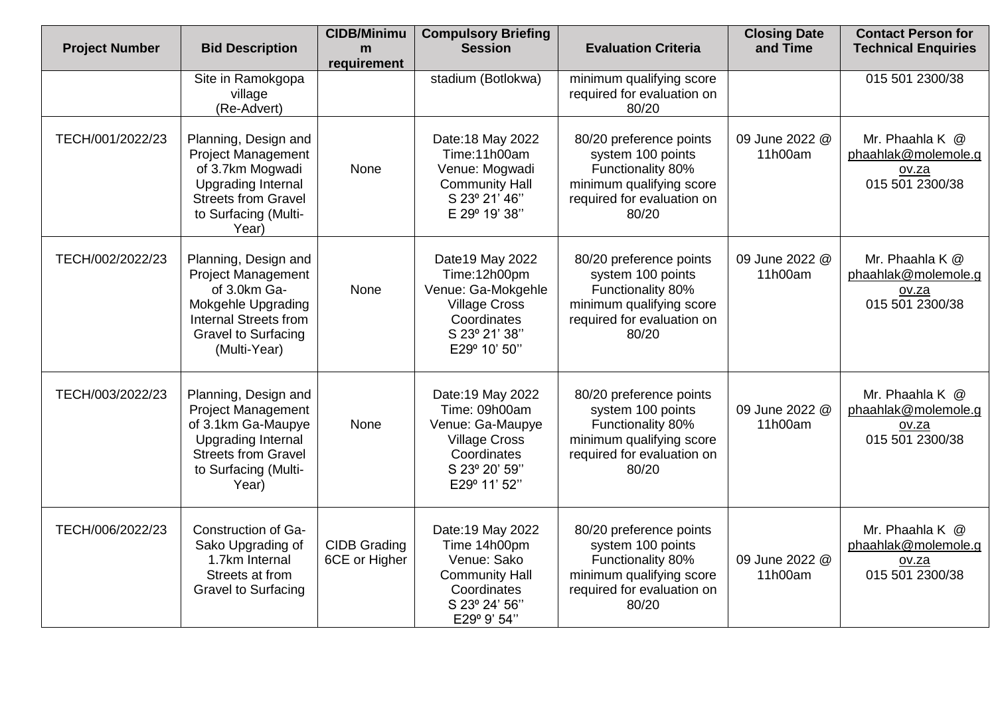| <b>Project Number</b> | <b>Bid Description</b>                                                                                                                                                | <b>CIDB/Minimu</b><br>m              | <b>Compulsory Briefing</b><br><b>Session</b>                                                                                   | <b>Evaluation Criteria</b>                                                                                                           | <b>Closing Date</b><br>and Time | <b>Contact Person for</b><br><b>Technical Enquiries</b>            |
|-----------------------|-----------------------------------------------------------------------------------------------------------------------------------------------------------------------|--------------------------------------|--------------------------------------------------------------------------------------------------------------------------------|--------------------------------------------------------------------------------------------------------------------------------------|---------------------------------|--------------------------------------------------------------------|
|                       | Site in Ramokgopa<br>village<br>(Re-Advert)                                                                                                                           | requirement                          | stadium (Botlokwa)                                                                                                             | minimum qualifying score<br>required for evaluation on<br>80/20                                                                      |                                 | 015 501 2300/38                                                    |
| TECH/001/2022/23      | Planning, Design and<br><b>Project Management</b><br>of 3.7km Mogwadi<br><b>Upgrading Internal</b><br><b>Streets from Gravel</b><br>to Surfacing (Multi-<br>Year)     | None                                 | Date: 18 May 2022<br>Time:11h00am<br>Venue: Mogwadi<br><b>Community Hall</b><br>S 23° 21' 46"<br>E 29° 19' 38"                 | 80/20 preference points<br>system 100 points<br>Functionality 80%<br>minimum qualifying score<br>required for evaluation on<br>80/20 | 09 June 2022 @<br>11h00am       | Mr. Phaahla K @<br>phaahlak@molemole.g<br>OV.Za<br>015 501 2300/38 |
| TECH/002/2022/23      | Planning, Design and<br><b>Project Management</b><br>of 3.0km Ga-<br>Mokgehle Upgrading<br><b>Internal Streets from</b><br><b>Gravel to Surfacing</b><br>(Multi-Year) | None                                 | Date19 May 2022<br>Time:12h00pm<br>Venue: Ga-Mokgehle<br><b>Village Cross</b><br>Coordinates<br>S 23º 21' 38"<br>E29° 10' 50"  | 80/20 preference points<br>system 100 points<br>Functionality 80%<br>minimum qualifying score<br>required for evaluation on<br>80/20 | 09 June 2022 @<br>11h00am       | Mr. Phaahla K @<br>phaahlak@molemole.g<br>ov.za<br>015 501 2300/38 |
| TECH/003/2022/23      | Planning, Design and<br><b>Project Management</b><br>of 3.1km Ga-Maupye<br><b>Upgrading Internal</b><br><b>Streets from Gravel</b><br>to Surfacing (Multi-<br>Year)   | None                                 | Date: 19 May 2022<br>Time: 09h00am<br>Venue: Ga-Maupye<br><b>Village Cross</b><br>Coordinates<br>S 23° 20' 59"<br>E29° 11' 52" | 80/20 preference points<br>system 100 points<br>Functionality 80%<br>minimum qualifying score<br>required for evaluation on<br>80/20 | 09 June 2022 @<br>11h00am       | Mr. Phaahla K @<br>phaahlak@molemole.g<br>OV.Za<br>015 501 2300/38 |
| TECH/006/2022/23      | Construction of Ga-<br>Sako Upgrading of<br>1.7km Internal<br>Streets at from<br><b>Gravel to Surfacing</b>                                                           | <b>CIDB Grading</b><br>6CE or Higher | Date: 19 May 2022<br>Time 14h00pm<br>Venue: Sako<br><b>Community Hall</b><br>Coordinates<br>S 23° 24' 56"<br>E29° 9' 54"       | 80/20 preference points<br>system 100 points<br>Functionality 80%<br>minimum qualifying score<br>required for evaluation on<br>80/20 | 09 June 2022 @<br>11h00am       | Mr. Phaahla K @<br>phaahlak@molemole.g<br>ov.za<br>015 501 2300/38 |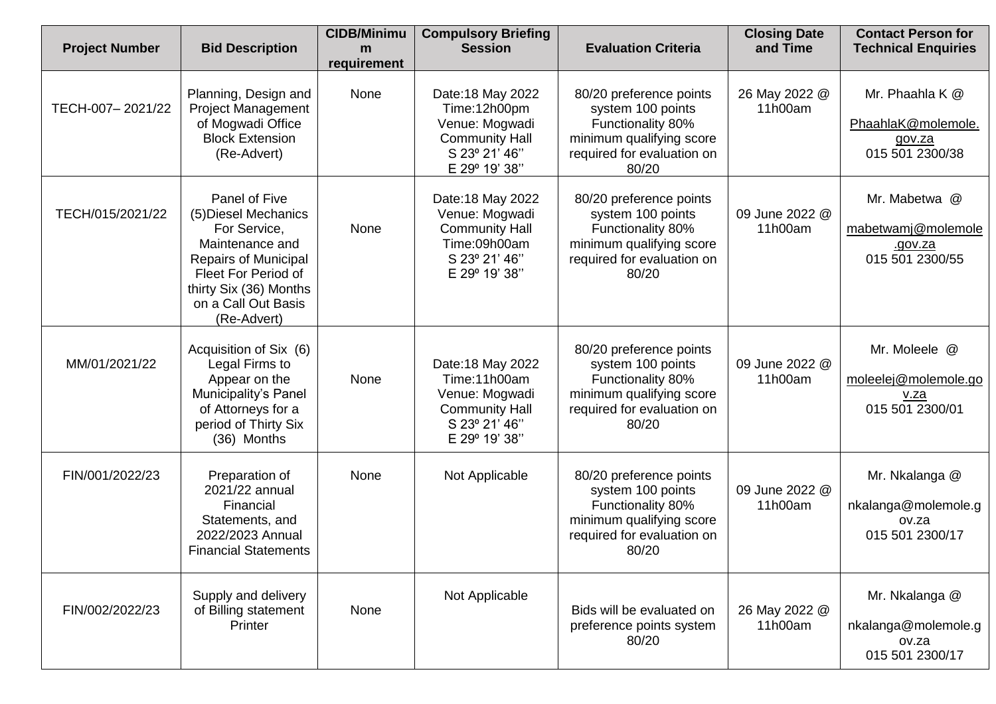| <b>Project Number</b> | <b>Bid Description</b>                                                                                                                                                                  | <b>CIDB/Minimu</b><br>m | <b>Compulsory Briefing</b><br><b>Session</b>                                                                   | <b>Evaluation Criteria</b>                                                                                                           | <b>Closing Date</b><br>and Time | <b>Contact Person for</b><br><b>Technical Enquiries</b>            |
|-----------------------|-----------------------------------------------------------------------------------------------------------------------------------------------------------------------------------------|-------------------------|----------------------------------------------------------------------------------------------------------------|--------------------------------------------------------------------------------------------------------------------------------------|---------------------------------|--------------------------------------------------------------------|
| TECH-007-2021/22      | Planning, Design and<br><b>Project Management</b><br>of Mogwadi Office<br><b>Block Extension</b><br>(Re-Advert)                                                                         | requirement<br>None     | Date: 18 May 2022<br>Time:12h00pm<br>Venue: Mogwadi<br><b>Community Hall</b><br>S 23° 21' 46"<br>E 29° 19' 38" | 80/20 preference points<br>system 100 points<br>Functionality 80%<br>minimum qualifying score<br>required for evaluation on<br>80/20 | 26 May 2022 @<br>11h00am        | Mr. Phaahla K @<br>PhaahlaK@molemole.<br>gov.za<br>015 501 2300/38 |
| TECH/015/2021/22      | Panel of Five<br>(5) Diesel Mechanics<br>For Service,<br>Maintenance and<br>Repairs of Municipal<br>Fleet For Period of<br>thirty Six (36) Months<br>on a Call Out Basis<br>(Re-Advert) | None                    | Date: 18 May 2022<br>Venue: Mogwadi<br><b>Community Hall</b><br>Time:09h00am<br>S 23° 21' 46"<br>E 29° 19' 38" | 80/20 preference points<br>system 100 points<br>Functionality 80%<br>minimum qualifying score<br>required for evaluation on<br>80/20 | 09 June 2022 @<br>11h00am       | Mr. Mabetwa @<br>mabetwamj@molemole<br>.gov.za<br>015 501 2300/55  |
| MM/01/2021/22         | Acquisition of Six (6)<br>Legal Firms to<br>Appear on the<br>Municipality's Panel<br>of Attorneys for a<br>period of Thirty Six<br>(36) Months                                          | None                    | Date: 18 May 2022<br>Time:11h00am<br>Venue: Mogwadi<br><b>Community Hall</b><br>S 23º 21' 46"<br>E 29° 19' 38" | 80/20 preference points<br>system 100 points<br>Functionality 80%<br>minimum qualifying score<br>required for evaluation on<br>80/20 | 09 June 2022 @<br>11h00am       | Mr. Moleele @<br>moleelej@molemole.go<br>V.Za<br>015 501 2300/01   |
| FIN/001/2022/23       | Preparation of<br>2021/22 annual<br>Financial<br>Statements, and<br>2022/2023 Annual<br><b>Financial Statements</b>                                                                     | None                    | Not Applicable                                                                                                 | 80/20 preference points<br>system 100 points<br>Functionality 80%<br>minimum qualifying score<br>required for evaluation on<br>80/20 | 09 June 2022 @<br>11h00am       | Mr. Nkalanga @<br>nkalanga@molemole.g<br>ov.za<br>015 501 2300/17  |
| FIN/002/2022/23       | Supply and delivery<br>of Billing statement<br>Printer                                                                                                                                  | None                    | Not Applicable                                                                                                 | Bids will be evaluated on<br>preference points system<br>80/20                                                                       | 26 May 2022 @<br>11h00am        | Mr. Nkalanga @<br>nkalanga@molemole.g<br>ov.za<br>015 501 2300/17  |